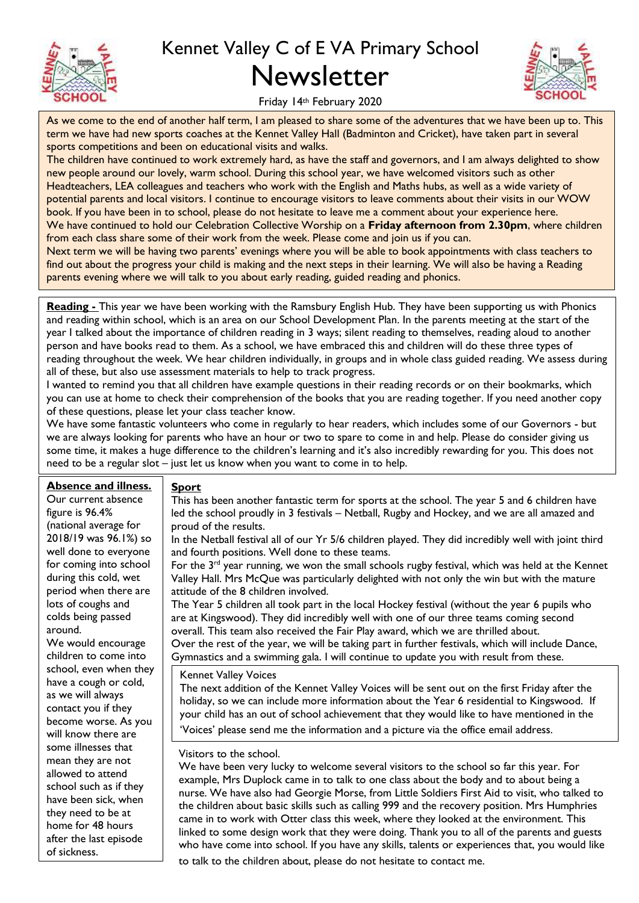

## Kennet Valley C of E VA Primary School Newsletter



Friday 14th February 2020

As we come to the end of another half term, I am pleased to share some of the adventures that we have been up to. This term we have had new sports coaches at the Kennet Valley Hall (Badminton and Cricket), have taken part in several sports competitions and been on educational visits and walks.

The children have continued to work extremely hard, as have the staff and governors, and I am always delighted to show new people around our lovely, warm school. During this school year, we have welcomed visitors such as other Headteachers, LEA colleagues and teachers who work with the English and Maths hubs, as well as a wide variety of potential parents and local visitors. I continue to encourage visitors to leave comments about their visits in our WOW book. If you have been in to school, please do not hesitate to leave me a comment about your experience here. We have continued to hold our Celebration Collective Worship on a **Friday afternoon from 2.30pm**, where children from each class share some of their work from the week. Please come and join us if you can.

Next term we will be having two parents' evenings where you will be able to book appointments with class teachers to find out about the progress your child is making and the next steps in their learning. We will also be having a Reading parents evening where we will talk to you about early reading, guided reading and phonics.

**Reading -** This year we have been working with the Ramsbury English Hub. They have been supporting us with Phonics and reading within school, which is an area on our School Development Plan. In the parents meeting at the start of the year I talked about the importance of children reading in 3 ways; silent reading to themselves, reading aloud to another person and have books read to them. As a school, we have embraced this and children will do these three types of reading throughout the week. We hear children individually, in groups and in whole class guided reading. We assess during all of these, but also use assessment materials to help to track progress.

I wanted to remind you that all children have example questions in their reading records or on their bookmarks, which you can use at home to check their comprehension of the books that you are reading together. If you need another copy of these questions, please let your class teacher know.

We have some fantastic volunteers who come in regularly to hear readers, which includes some of our Governors - but we are always looking for parents who have an hour or two to spare to come in and help. Please do consider giving us some time, it makes a huge difference to the children's learning and it's also incredibly rewarding for you. This does not need to be a regular slot – just let us know when you want to come in to help.

## **Absence and illness.**

This has been another fantastic term for sports at the school. The year 5 and 6 children have led the school proudly in 3 festivals – Netball, Rugby and Hockey, and we are all amazed and proud of the results.

In the Netball festival all of our Yr 5/6 children played. They did incredibly well with joint third and fourth positions. Well done to these teams.

For the 3<sup>rd</sup> year running, we won the small schools rugby festival, which was held at the Kennet Valley Hall. Mrs McQue was particularly delighted with not only the win but with the mature attitude of the 8 children involved.

The Year 5 children all took part in the local Hockey festival (without the year 6 pupils who are at Kingswood). They did incredibly well with one of our three teams coming second overall. This team also received the Fair Play award, which we are thrilled about. Over the rest of the year, we will be taking part in further festivals, which will include Dance, Gymnastics and a swimming gala. I will continue to update you with result from these.

Kennet Valley Voices

**Sport** 

The next addition of the Kennet Valley Voices will be sent out on the first Friday after the holiday, so we can include more information about the Year 6 residential to Kingswood. If your child has an out of school achievement that they would like to have mentioned in the 'Voices' please send me the information and a picture via the office email address.

Visitors to the school.

We have been very lucky to welcome several visitors to the school so far this year. For example, Mrs Duplock came in to talk to one class about the body and to about being a nurse. We have also had Georgie Morse, from Little Soldiers First Aid to visit, who talked to the children about basic skills such as calling 999 and the recovery position. Mrs Humphries came in to work with Otter class this week, where they looked at the environment. This linked to some design work that they were doing. Thank you to all of the parents and guests who have come into school. If you have any skills, talents or experiences that, you would like to talk to the children about, please do not hesitate to contact me.

Our current absence figure is 96.4% (national average for 2018/19 was 96.1%) so well done to everyone for coming into school during this cold, wet period when there are lots of coughs and colds being passed around.

We would encourage children to come into school, even when they have a cough or cold, as we will always contact you if they become worse. As you will know there are some illnesses that mean they are not allowed to attend school such as if they have been sick, when they need to be at home for 48 hours after the last episode of sickness.